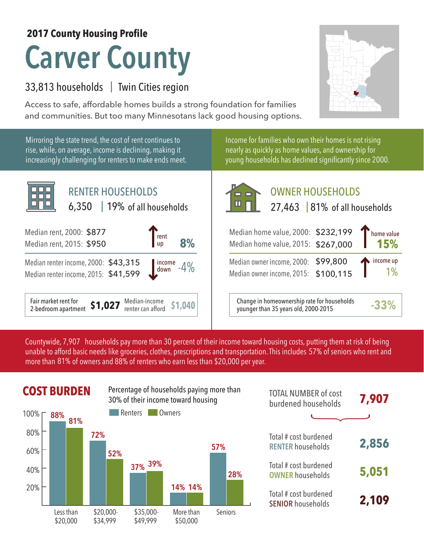## **Carver County 2017 County Housing Profile**

## 33,813 households Twin Cities region |

Access to safe, affordable homes builds a strong foundation for families and communities. But too many Minnesotans lack good housing options.

Mirroring the state trend, the cost of rent continues to rise, while, on average, income is declining, making it increasingly challenging for renters to make ends meet.



Income for families who own their homes is not rising nearly as quickly as home values, and ownership for young households has declined significantly since 2000.



| Median home value, 2000: \$232,199 Thome value<br>Median home value, 2015: \$267,000 15% |  |
|------------------------------------------------------------------------------------------|--|
| Median owner income $2000 - $99,800$ $\bullet$ income up                                 |  |

Median owner income, 2000: \$99,800 Median owner income, 2015: \$100,115

Median-income **\$1,040** Change in homeownership rate for households<br>
renter can afford **\$1,040** vounger than 35 years old, 2000-2015 younger than 35 years old, 2000-2015 **-33%**

1%

Countywide, 7,907  $\,$  households pay more than 30 percent of their income toward housing costs, putting them at risk of being  $\,$ unable to afford basic needs like groceries, clothes, prescriptions and transportation. This includes 57% of seniors who rent and more than 81% of owners and 88% of renters who earn less than \$20,000 per year.

## **COST BURDEN** Percentage of households paying more than **TOTAL NUMBER** of cost



| <b>TOTAL NUMBER of cost</b><br>burdened households | 7,907 |
|----------------------------------------------------|-------|
|                                                    |       |
| Total # cost burdened<br><b>RENTER households</b>  | 2,856 |
| Total # cost burdened<br><b>OWNER households</b>   | 5,051 |
| Total # cost burdened<br><b>SENIOR households</b>  | 2,109 |